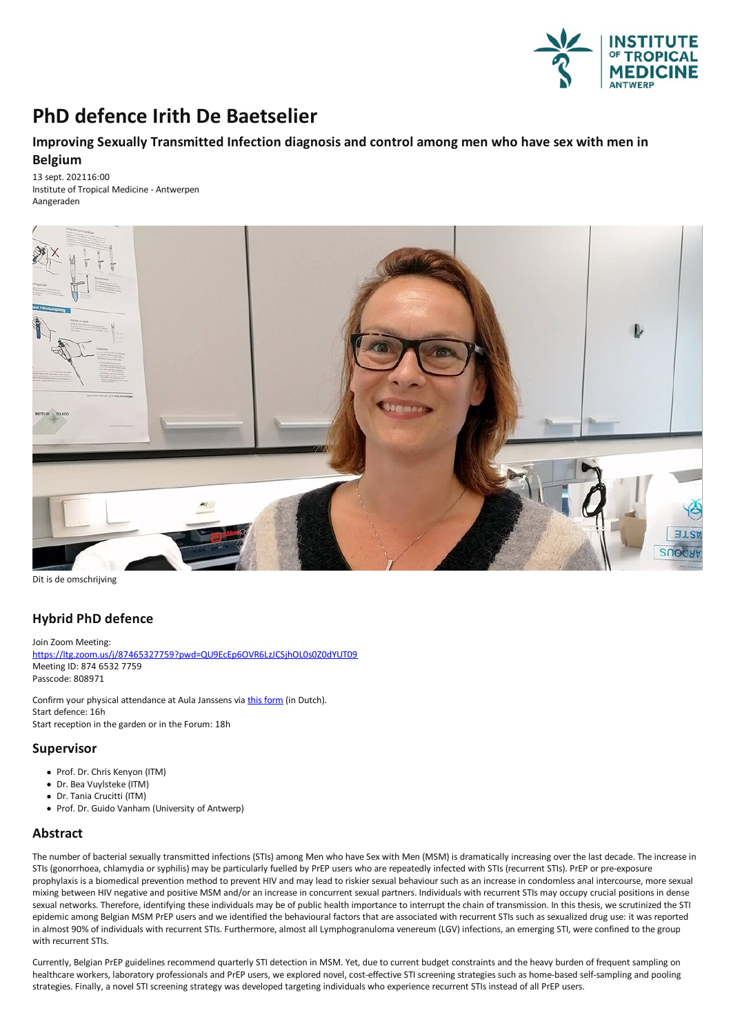

# **PhD defence Irith De Baetselier**

## **ImprovingSexually Transmitted Infection diagnosis and control among men who have sex with men in Belgium**

13 sept. 202116:00 Institute of Tropical Medicine - Antwerpen Aangeraden



Dit is de omschrijving

## **Hybrid PhD defence**

Join Zoom Meeting: [https://Itg.zoom.us/j/87465327759?pwd=QU9EcEp6OVR6LzJCSjhOL0s0Z0dYUT09](https://itg.zoom.us/j/87465327759?pwd=QU9EcEp6OVR6LzJCSjhOL0s0Z0dYUT09) Meeting ID: 874 6532 7759 Passcode: 808971

Confirm your physical attendance at Aula Janssens via this [form](https://docs.google.com/forms/d/e/1FAIpQLSeGqaXip9GczQu8StBBvGLK3oKUbU1x5aN8oiS5YkDdpdrD4A/viewform?vc=0&c=0&w=1&flr=0) (in Dutch). Start defence: 16h Start reception in the garden or in the Forum: 18h

### **Supervisor**

- Prof. Dr. Chris Kenyon (ITM)
- Dr. Bea Vuylsteke (ITM)
- Dr.Tania Crucitti (ITM)
- Prof. Dr. Guido Vanham (University of Antwerp)

### **Abstract**

The number of bacterial sexually transmitted infections (STIs) among Men who have Sex with Men (MSM) is dramatically increasing over the last decade. The increase in STIs (gonorrhoea, chlamydia or syphilis) may be particularly fuelled by PrEP users who are repeatedly infected with STIs (recurrent STIs). PrEP or pre-exposure<br>prophylaxis is a biomedical prevention method to prevent HIV a mixing between HIV negative and positive MSM and/or an increase in concurrent sexual partners. Individuals with recurrent STIs may occupy crucial positions in dense sexual networks. Therefore, identifying these individuals may be of public health importance to interrupt the chain of transmission. In this thesis, we scrutinized the STI epidemic among Belgian MSM PrEP users and we identified the behavioural factors that are associated with recurrent STIs such as sexualized drug use: it was reported in almost 90% of individuals with recurrent STIs. Furthermore, almost all Lymphogranuloma venereum (LGV) infections, an emerging STI, were confined to the group with recurrent STIs.

Currently, Belgian PrEP guidelines recommend quarterly STI detection in MSM. Yet, due to current budget constraints and the heavy burden of frequent sampling on healthcare workers, laboratory professionals and PrEP users, we explored novel, cost-effective STI screening strategies such as home-based self-sampling and pooling strategies.Finally,a novel STI screening strategy was developed targeting individuals who experience recurrent STIs instead ofall PrEP users.